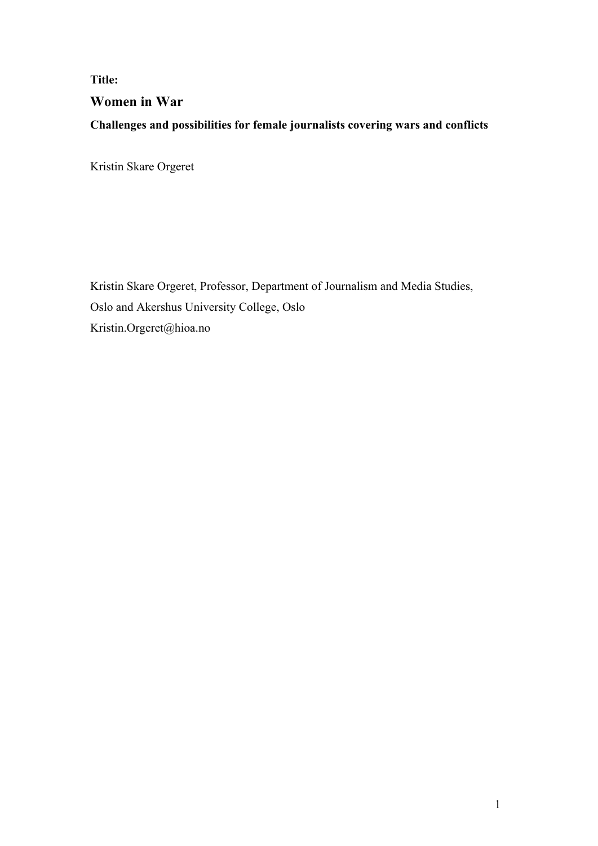# **Title: Women in War Challenges and possibilities for female journalists covering wars and conflicts**

Kristin Skare Orgeret

Kristin Skare Orgeret, Professor, Department of Journalism and Media Studies, Oslo and Akershus University College, Oslo Kristin.Orgeret@hioa.no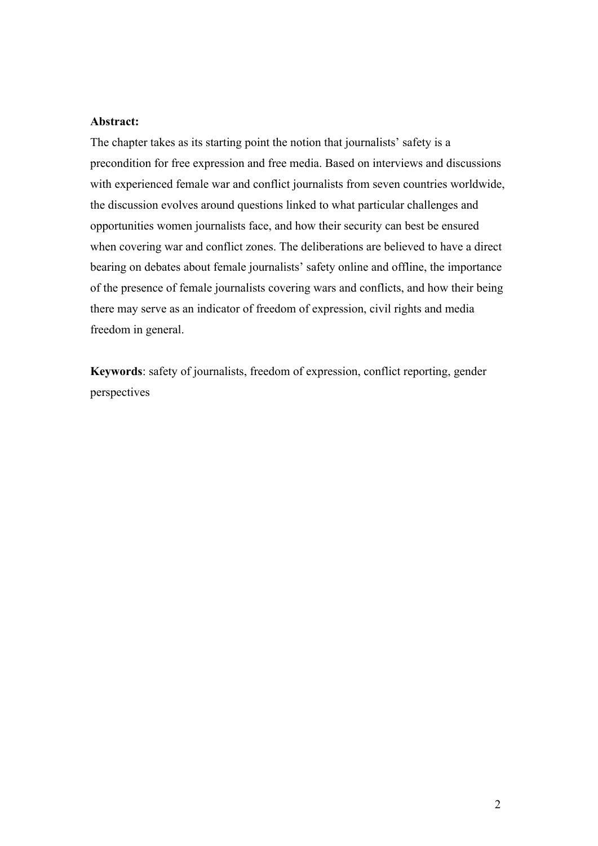## **Abstract:**

The chapter takes as its starting point the notion that journalists' safety is a precondition for free expression and free media. Based on interviews and discussions with experienced female war and conflict journalists from seven countries worldwide, the discussion evolves around questions linked to what particular challenges and opportunities women journalists face, and how their security can best be ensured when covering war and conflict zones. The deliberations are believed to have a direct bearing on debates about female journalists' safety online and offline, the importance of the presence of female journalists covering wars and conflicts, and how their being there may serve as an indicator of freedom of expression, civil rights and media freedom in general.

**Keywords**: safety of journalists, freedom of expression, conflict reporting, gender perspectives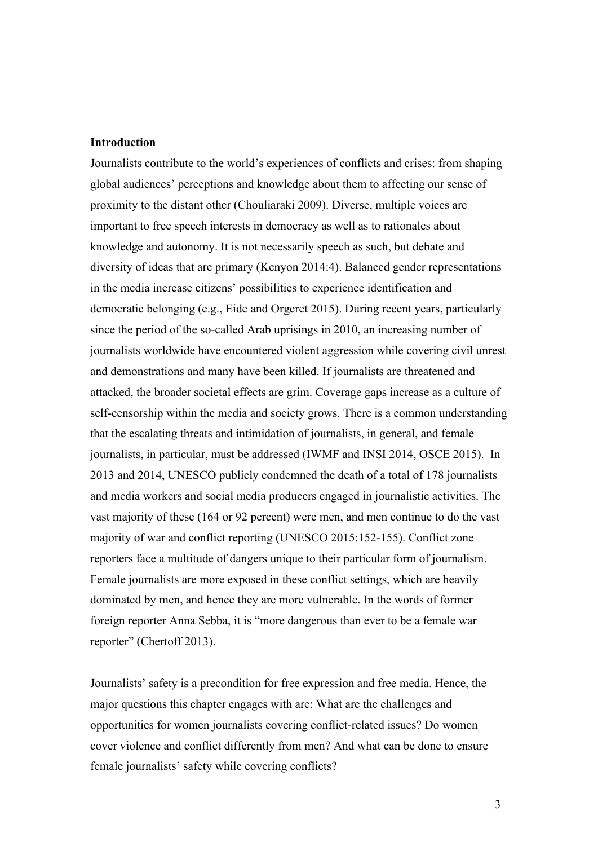## **Introduction**

Journalists contribute to the world's experiences of conflicts and crises: from shaping global audiences' perceptions and knowledge about them to affecting our sense of proximity to the distant other (Chouliaraki 2009). Diverse, multiple voices are important to free speech interests in democracy as well as to rationales about knowledge and autonomy. It is not necessarily speech as such, but debate and diversity of ideas that are primary (Kenyon 2014:4). Balanced gender representations in the media increase citizens' possibilities to experience identification and democratic belonging (e.g., Eide and Orgeret 2015). During recent years, particularly since the period of the so-called Arab uprisings in 2010, an increasing number of journalists worldwide have encountered violent aggression while covering civil unrest and demonstrations and many have been killed. If journalists are threatened and attacked, the broader societal effects are grim. Coverage gaps increase as a culture of self-censorship within the media and society grows. There is a common understanding that the escalating threats and intimidation of journalists, in general, and female journalists, in particular, must be addressed (IWMF and INSI 2014, OSCE 2015). In 2013 and 2014, UNESCO publicly condemned the death of a total of 178 journalists and media workers and social media producers engaged in journalistic activities. The vast majority of these (164 or 92 percent) were men, and men continue to do the vast majority of war and conflict reporting (UNESCO 2015:152-155). Conflict zone reporters face a multitude of dangers unique to their particular form of journalism. Female journalists are more exposed in these conflict settings, which are heavily dominated by men, and hence they are more vulnerable. In the words of former foreign reporter Anna Sebba, it is "more dangerous than ever to be a female war reporter" (Chertoff 2013).

Journalists' safety is a precondition for free expression and free media. Hence, the major questions this chapter engages with are: What are the challenges and opportunities for women journalists covering conflict-related issues? Do women cover violence and conflict differently from men? And what can be done to ensure female journalists' safety while covering conflicts?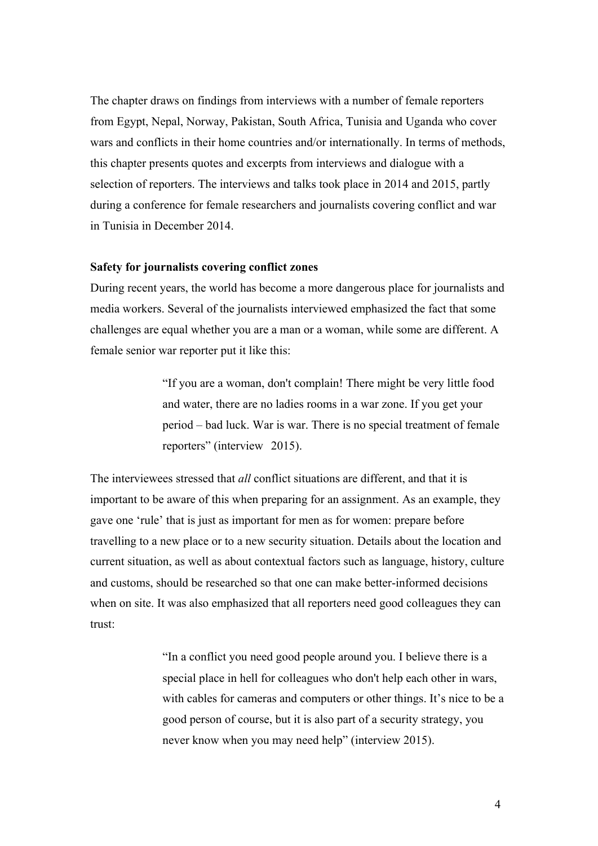The chapter draws on findings from interviews with a number of female reporters from Egypt, Nepal, Norway, Pakistan, South Africa, Tunisia and Uganda who cover wars and conflicts in their home countries and/or internationally. In terms of methods, this chapter presents quotes and excerpts from interviews and dialogue with a selection of reporters. The interviews and talks took place in 2014 and 2015, partly during a conference for female researchers and journalists covering conflict and war in Tunisia in December 2014.

#### **Safety for journalists covering conflict zones**

During recent years, the world has become a more dangerous place for journalists and media workers. Several of the journalists interviewed emphasized the fact that some challenges are equal whether you are a man or a woman, while some are different. A female senior war reporter put it like this:

> "If you are a woman, don't complain! There might be very little food and water, there are no ladies rooms in a war zone. If you get your period – bad luck. War is war. There is no special treatment of female reporters" (interview 2015).

The interviewees stressed that *all* conflict situations are different, and that it is important to be aware of this when preparing for an assignment. As an example, they gave one 'rule' that is just as important for men as for women: prepare before travelling to a new place or to a new security situation. Details about the location and current situation, as well as about contextual factors such as language, history, culture and customs, should be researched so that one can make better-informed decisions when on site. It was also emphasized that all reporters need good colleagues they can trust:

> "In a conflict you need good people around you. I believe there is a special place in hell for colleagues who don't help each other in wars, with cables for cameras and computers or other things. It's nice to be a good person of course, but it is also part of a security strategy, you never know when you may need help" (interview 2015).

> > 4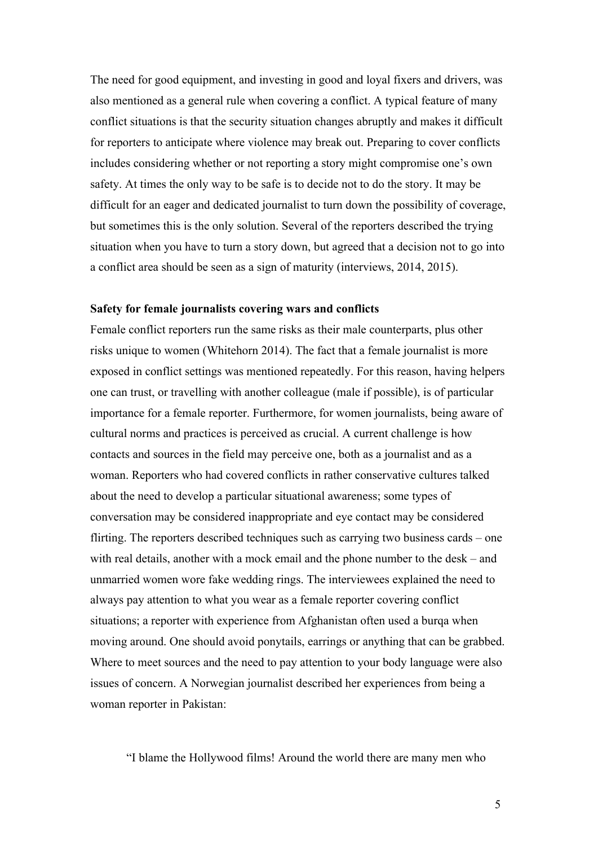The need for good equipment, and investing in good and loyal fixers and drivers, was also mentioned as a general rule when covering a conflict. A typical feature of many conflict situations is that the security situation changes abruptly and makes it difficult for reporters to anticipate where violence may break out. Preparing to cover conflicts includes considering whether or not reporting a story might compromise one's own safety. At times the only way to be safe is to decide not to do the story. It may be difficult for an eager and dedicated journalist to turn down the possibility of coverage, but sometimes this is the only solution. Several of the reporters described the trying situation when you have to turn a story down, but agreed that a decision not to go into a conflict area should be seen as a sign of maturity (interviews, 2014, 2015).

#### **Safety for female journalists covering wars and conflicts**

Female conflict reporters run the same risks as their male counterparts, plus other risks unique to women (Whitehorn 2014). The fact that a female journalist is more exposed in conflict settings was mentioned repeatedly. For this reason, having helpers one can trust, or travelling with another colleague (male if possible), is of particular importance for a female reporter. Furthermore, for women journalists, being aware of cultural norms and practices is perceived as crucial. A current challenge is how contacts and sources in the field may perceive one, both as a journalist and as a woman. Reporters who had covered conflicts in rather conservative cultures talked about the need to develop a particular situational awareness; some types of conversation may be considered inappropriate and eye contact may be considered flirting. The reporters described techniques such as carrying two business cards – one with real details, another with a mock email and the phone number to the desk – and unmarried women wore fake wedding rings. The interviewees explained the need to always pay attention to what you wear as a female reporter covering conflict situations; a reporter with experience from Afghanistan often used a burqa when moving around. One should avoid ponytails, earrings or anything that can be grabbed. Where to meet sources and the need to pay attention to your body language were also issues of concern. A Norwegian journalist described her experiences from being a woman reporter in Pakistan:

"I blame the Hollywood films! Around the world there are many men who

5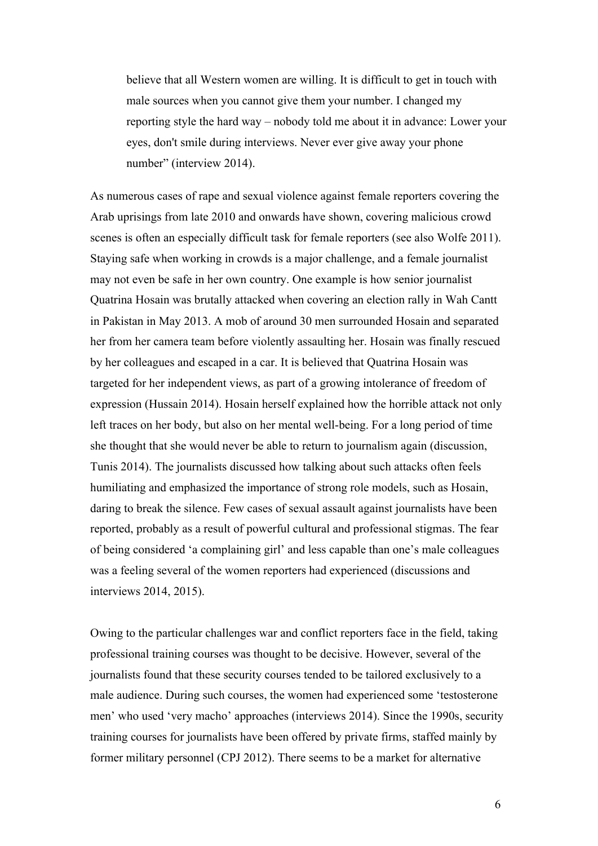believe that all Western women are willing. It is difficult to get in touch with male sources when you cannot give them your number. I changed my reporting style the hard way – nobody told me about it in advance: Lower your eyes, don't smile during interviews. Never ever give away your phone number" (interview 2014).

As numerous cases of rape and sexual violence against female reporters covering the Arab uprisings from late 2010 and onwards have shown, covering malicious crowd scenes is often an especially difficult task for female reporters (see also Wolfe 2011). Staying safe when working in crowds is a major challenge, and a female journalist may not even be safe in her own country. One example is how senior journalist Quatrina Hosain was brutally attacked when covering an election rally in Wah Cantt in Pakistan in May 2013. A mob of around 30 men surrounded Hosain and separated her from her camera team before violently assaulting her. Hosain was finally rescued by her colleagues and escaped in a car. It is believed that Quatrina Hosain was targeted for her independent views, as part of a growing intolerance of freedom of expression (Hussain 2014). Hosain herself explained how the horrible attack not only left traces on her body, but also on her mental well-being. For a long period of time she thought that she would never be able to return to journalism again (discussion, Tunis 2014). The journalists discussed how talking about such attacks often feels humiliating and emphasized the importance of strong role models, such as Hosain, daring to break the silence. Few cases of sexual assault against journalists have been reported, probably as a result of powerful cultural and professional stigmas. The fear of being considered 'a complaining girl' and less capable than one's male colleagues was a feeling several of the women reporters had experienced (discussions and interviews 2014, 2015).

Owing to the particular challenges war and conflict reporters face in the field, taking professional training courses was thought to be decisive. However, several of the journalists found that these security courses tended to be tailored exclusively to a male audience. During such courses, the women had experienced some 'testosterone men' who used 'very macho' approaches (interviews 2014). Since the 1990s, security training courses for journalists have been offered by private firms, staffed mainly by former military personnel (CPJ 2012). There seems to be a market for alternative

6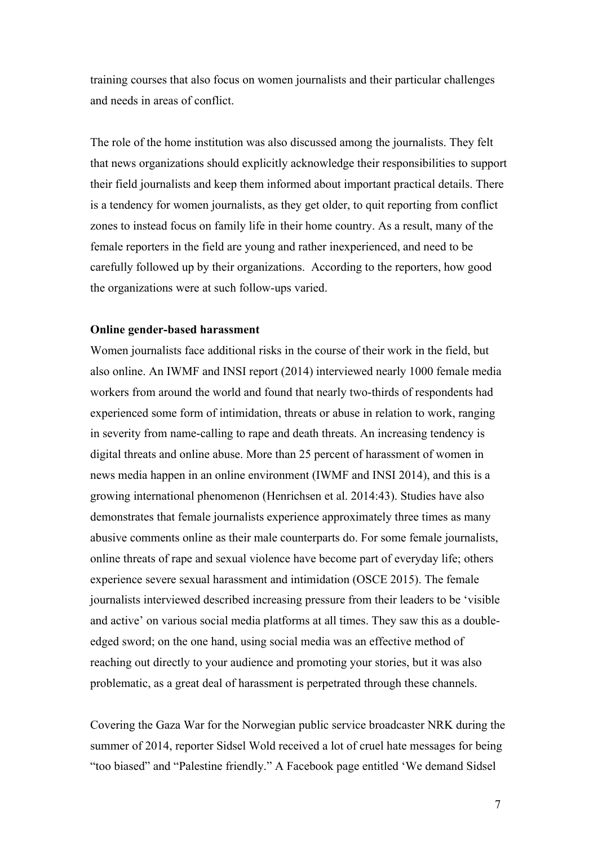training courses that also focus on women journalists and their particular challenges and needs in areas of conflict.

The role of the home institution was also discussed among the journalists. They felt that news organizations should explicitly acknowledge their responsibilities to support their field journalists and keep them informed about important practical details. There is a tendency for women journalists, as they get older, to quit reporting from conflict zones to instead focus on family life in their home country. As a result, many of the female reporters in the field are young and rather inexperienced, and need to be carefully followed up by their organizations. According to the reporters, how good the organizations were at such follow-ups varied.

### **Online gender-based harassment**

Women journalists face additional risks in the course of their work in the field, but also online. An IWMF and INSI report (2014) interviewed nearly 1000 female media workers from around the world and found that nearly two-thirds of respondents had experienced some form of intimidation, threats or abuse in relation to work, ranging in severity from name-calling to rape and death threats. An increasing tendency is digital threats and online abuse. More than 25 percent of harassment of women in news media happen in an online environment (IWMF and INSI 2014), and this is a growing international phenomenon (Henrichsen et al. 2014:43). Studies have also demonstrates that female journalists experience approximately three times as many abusive comments online as their male counterparts do. For some female journalists, online threats of rape and sexual violence have become part of everyday life; others experience severe sexual harassment and intimidation (OSCE 2015). The female journalists interviewed described increasing pressure from their leaders to be 'visible and active' on various social media platforms at all times. They saw this as a doubleedged sword; on the one hand, using social media was an effective method of reaching out directly to your audience and promoting your stories, but it was also problematic, as a great deal of harassment is perpetrated through these channels.

Covering the Gaza War for the Norwegian public service broadcaster NRK during the summer of 2014, reporter Sidsel Wold received a lot of cruel hate messages for being "too biased" and "Palestine friendly." A Facebook page entitled 'We demand Sidsel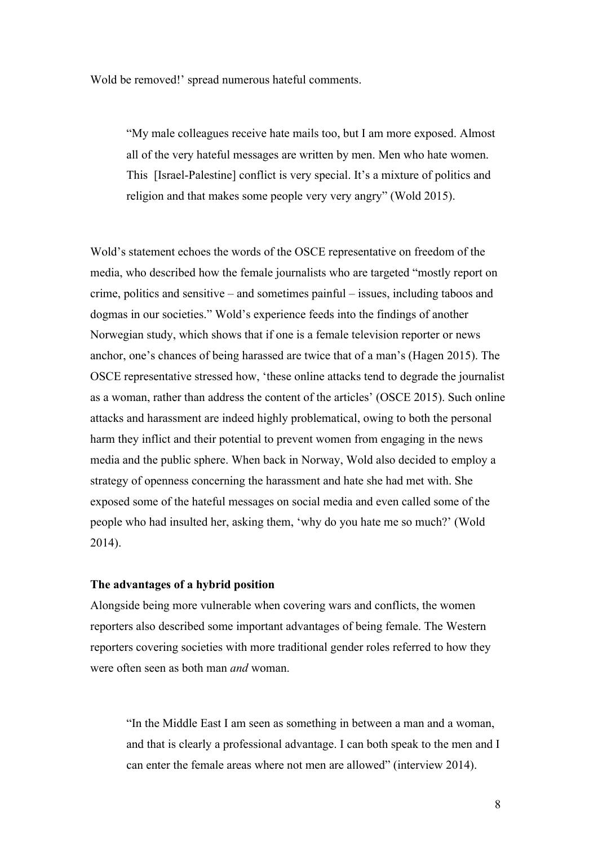Wold be removed!' spread numerous hateful comments.

"My male colleagues receive hate mails too, but I am more exposed. Almost all of the very hateful messages are written by men. Men who hate women. This [Israel-Palestine] conflict is very special. It's a mixture of politics and religion and that makes some people very very angry" (Wold 2015).

Wold's statement echoes the words of the OSCE representative on freedom of the media, who described how the female journalists who are targeted "mostly report on crime, politics and sensitive – and sometimes painful – issues, including taboos and dogmas in our societies." Wold's experience feeds into the findings of another Norwegian study, which shows that if one is a female television reporter or news anchor, one's chances of being harassed are twice that of a man's (Hagen 2015). The OSCE representative stressed how, 'these online attacks tend to degrade the journalist as a woman, rather than address the content of the articles' (OSCE 2015). Such online attacks and harassment are indeed highly problematical, owing to both the personal harm they inflict and their potential to prevent women from engaging in the news media and the public sphere. When back in Norway, Wold also decided to employ a strategy of openness concerning the harassment and hate she had met with. She exposed some of the hateful messages on social media and even called some of the people who had insulted her, asking them, 'why do you hate me so much?' (Wold 2014).

## **The advantages of a hybrid position**

Alongside being more vulnerable when covering wars and conflicts, the women reporters also described some important advantages of being female. The Western reporters covering societies with more traditional gender roles referred to how they were often seen as both man *and* woman.

"In the Middle East I am seen as something in between a man and a woman, and that is clearly a professional advantage. I can both speak to the men and I can enter the female areas where not men are allowed" (interview 2014).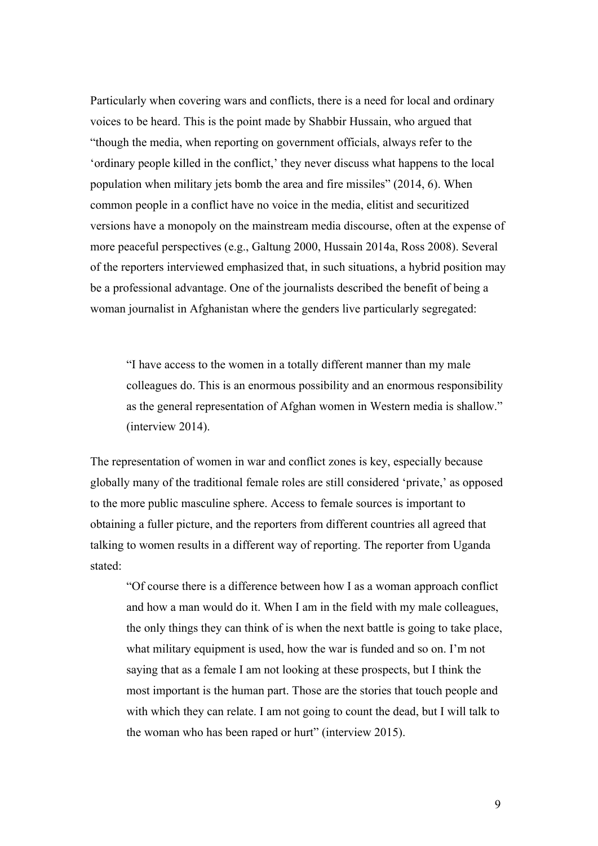Particularly when covering wars and conflicts, there is a need for local and ordinary voices to be heard. This is the point made by Shabbir Hussain, who argued that "though the media, when reporting on government officials, always refer to the 'ordinary people killed in the conflict,' they never discuss what happens to the local population when military jets bomb the area and fire missiles" (2014, 6). When common people in a conflict have no voice in the media, elitist and securitized versions have a monopoly on the mainstream media discourse, often at the expense of more peaceful perspectives (e.g., Galtung 2000, Hussain 2014a, Ross 2008). Several of the reporters interviewed emphasized that, in such situations, a hybrid position may be a professional advantage. One of the journalists described the benefit of being a woman journalist in Afghanistan where the genders live particularly segregated:

"I have access to the women in a totally different manner than my male colleagues do. This is an enormous possibility and an enormous responsibility as the general representation of Afghan women in Western media is shallow." (interview 2014).

The representation of women in war and conflict zones is key, especially because globally many of the traditional female roles are still considered 'private,' as opposed to the more public masculine sphere. Access to female sources is important to obtaining a fuller picture, and the reporters from different countries all agreed that talking to women results in a different way of reporting. The reporter from Uganda stated:

"Of course there is a difference between how I as a woman approach conflict and how a man would do it. When I am in the field with my male colleagues, the only things they can think of is when the next battle is going to take place, what military equipment is used, how the war is funded and so on. I'm not saying that as a female I am not looking at these prospects, but I think the most important is the human part. Those are the stories that touch people and with which they can relate. I am not going to count the dead, but I will talk to the woman who has been raped or hurt" (interview 2015).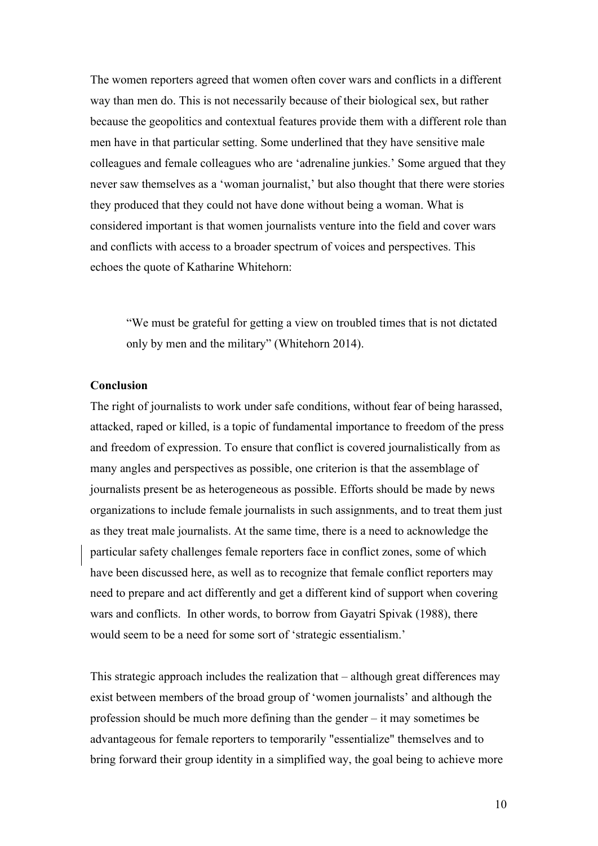The women reporters agreed that women often cover wars and conflicts in a different way than men do. This is not necessarily because of their biological sex, but rather because the geopolitics and contextual features provide them with a different role than men have in that particular setting. Some underlined that they have sensitive male colleagues and female colleagues who are 'adrenaline junkies.' Some argued that they never saw themselves as a 'woman journalist,' but also thought that there were stories they produced that they could not have done without being a woman. What is considered important is that women journalists venture into the field and cover wars and conflicts with access to a broader spectrum of voices and perspectives. This echoes the quote of Katharine Whitehorn:

"We must be grateful for getting a view on troubled times that is not dictated only by men and the military" (Whitehorn 2014).

#### **Conclusion**

The right of journalists to work under safe conditions, without fear of being harassed, attacked, raped or killed, is a topic of fundamental importance to freedom of the press and freedom of expression. To ensure that conflict is covered journalistically from as many angles and perspectives as possible, one criterion is that the assemblage of journalists present be as heterogeneous as possible. Efforts should be made by news organizations to include female journalists in such assignments, and to treat them just as they treat male journalists. At the same time, there is a need to acknowledge the particular safety challenges female reporters face in conflict zones, some of which have been discussed here, as well as to recognize that female conflict reporters may need to prepare and act differently and get a different kind of support when covering wars and conflicts. In other words, to borrow from Gayatri Spivak (1988), there would seem to be a need for some sort of 'strategic essentialism.'

This strategic approach includes the realization that – although great differences may exist between members of the broad group of 'women journalists' and although the profession should be much more defining than the gender – it may sometimes be advantageous for female reporters to temporarily "essentialize" themselves and to bring forward their group identity in a simplified way, the goal being to achieve more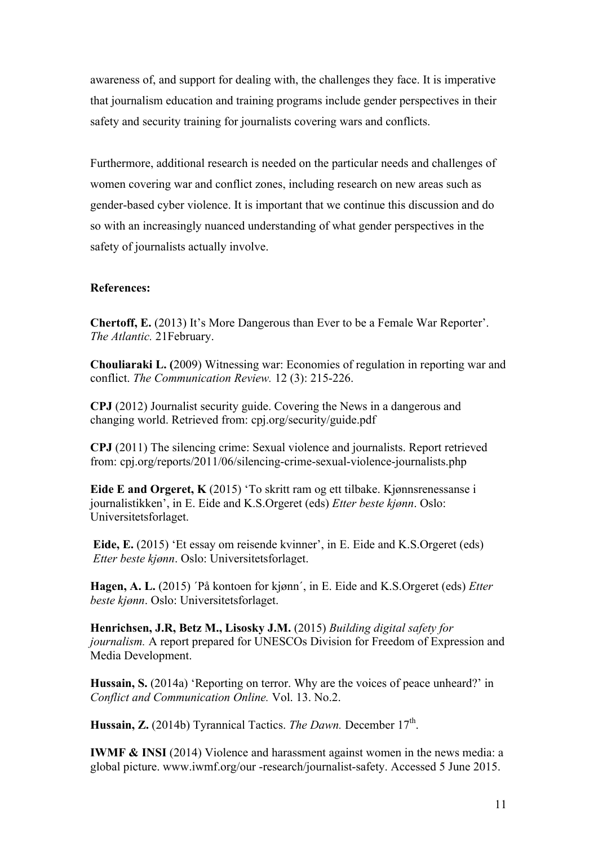awareness of, and support for dealing with, the challenges they face. It is imperative that journalism education and training programs include gender perspectives in their safety and security training for journalists covering wars and conflicts.

Furthermore, additional research is needed on the particular needs and challenges of women covering war and conflict zones, including research on new areas such as gender-based cyber violence. It is important that we continue this discussion and do so with an increasingly nuanced understanding of what gender perspectives in the safety of journalists actually involve.

## **References:**

**Chertoff, E.** (2013) It's More Dangerous than Ever to be a Female War Reporter'. *The Atlantic.* 21February.

**Chouliaraki L. (**2009) Witnessing war: Economies of regulation in reporting war and conflict. *The Communication Review.* 12 (3): 215-226.

**CPJ** (2012) Journalist security guide. Covering the News in a dangerous and changing world. Retrieved from: cpj.org/security/guide.pdf

**CPJ** (2011) The silencing crime: Sexual violence and journalists. Report retrieved from: cpj.org/reports/2011/06/silencing-crime-sexual-violence-journalists.php

**Eide E and Orgeret, K** (2015) 'To skritt ram og ett tilbake. Kjønnsrenessanse i journalistikken', in E. Eide and K.S.Orgeret (eds) *Etter beste kjønn*. Oslo: Universitetsforlaget.

**Eide, E.** (2015) 'Et essay om reisende kvinner', in E. Eide and K.S.Orgeret (eds) *Etter beste kjønn*. Oslo: Universitetsforlaget.

**Hagen, A. L.** (2015) ´På kontoen for kjønn´, in E. Eide and K.S.Orgeret (eds) *Etter beste kjønn*. Oslo: Universitetsforlaget.

**Henrichsen, J.R, Betz M., Lisosky J.M.** (2015) *Building digital safety for journalism.* A report prepared for UNESCOs Division for Freedom of Expression and Media Development.

**Hussain, S.** (2014a) 'Reporting on terror. Why are the voices of peace unheard?' in *Conflict and Communication Online.* Vol. 13. No.2.

Hussain, Z. (2014b) Tyrannical Tactics. *The Dawn*. December 17<sup>th</sup>.

**IWMF & INSI** (2014) Violence and harassment against women in the news media: a global picture. www.iwmf.org/our -research/journalist-safety. Accessed 5 June 2015.